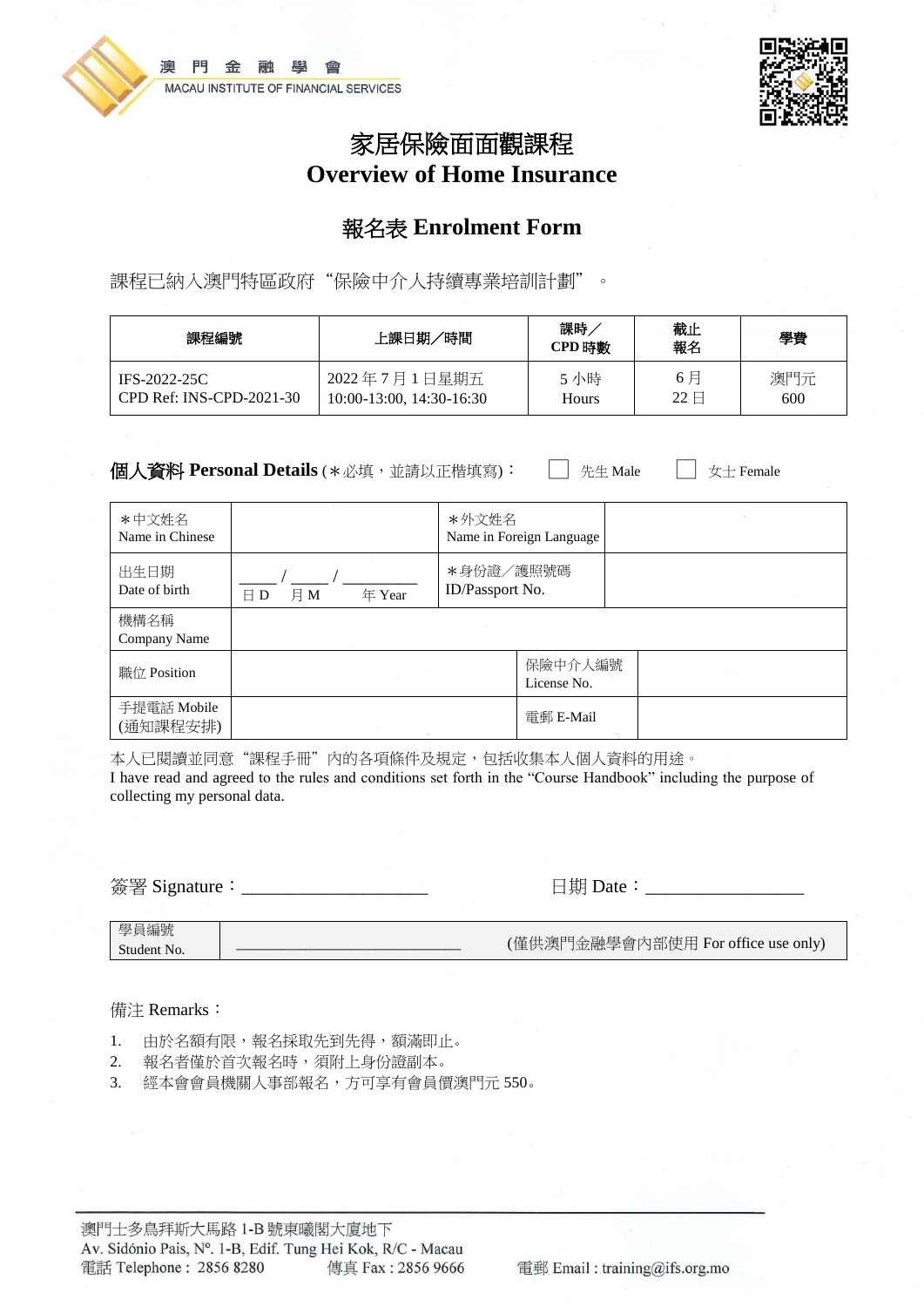



# 家居保險面面觀課程 **Overview of Home Insurance**

### 報名表 **Enrolment Form**

課程已納入澳門特區政府"保險中介人持續專業培訓計劃"。

| 課程編號                     | 上課日期/時間                       | 課時<br>CPD 時數 | 截止<br>報名                | 學費  |
|--------------------------|-------------------------------|--------------|-------------------------|-----|
| IFS-2022-25C             | 2022年7月1日星期五                  | 5 小時         | 6月                      | 澳門元 |
| CPD Ref: INS-CPD-2021-30 | $10:00-13:00$ , $14:30-16:30$ | Hours        | $22 \text{ } \boxminus$ | 600 |

**個人資料 Personal Details** (\*必填,並請以正楷填寫): □ 先生 Male □ 女士 Female

| *中文姓名<br>Name in Chinese |                               | *外文姓名                        | Name in Foreign Language |  |  |
|--------------------------|-------------------------------|------------------------------|--------------------------|--|--|
| 出生日期<br>Date of birth    | 月M<br>年 Year<br>$\boxminus$ D | *身份證/護照號碼<br>ID/Passport No. |                          |  |  |
| 機構名稱<br>Company Name     |                               |                              |                          |  |  |
| 職位 Position              |                               |                              | 保險中介人編號<br>License No.   |  |  |
| 手提電話 Mobile<br>(通知課程安排)  |                               |                              | 電郵 E-Mail                |  |  |

本人已閱讀並同意"課程手冊"內的各項條件及規定,包括收集本人個人資料的用途。 I have read and agreed to the rules and conditions set forth in the "Course Handbook" including the purpose of collecting my personal data.

簽署 Signature:\_\_\_\_\_\_\_\_\_\_\_\_\_\_\_\_\_\_\_\_ 日期 Date:\_\_\_\_\_\_\_\_\_\_\_\_\_\_\_\_\_

#### 備注 Remarks:

- 1. 由於名額有限,報名採取先到先得,額滿即止。
- 2. 報名者僅於首次報名時,須附上身份證副本。
- 3. 經本會會員機關人事部報名,方可享有會員價澳門元 550。